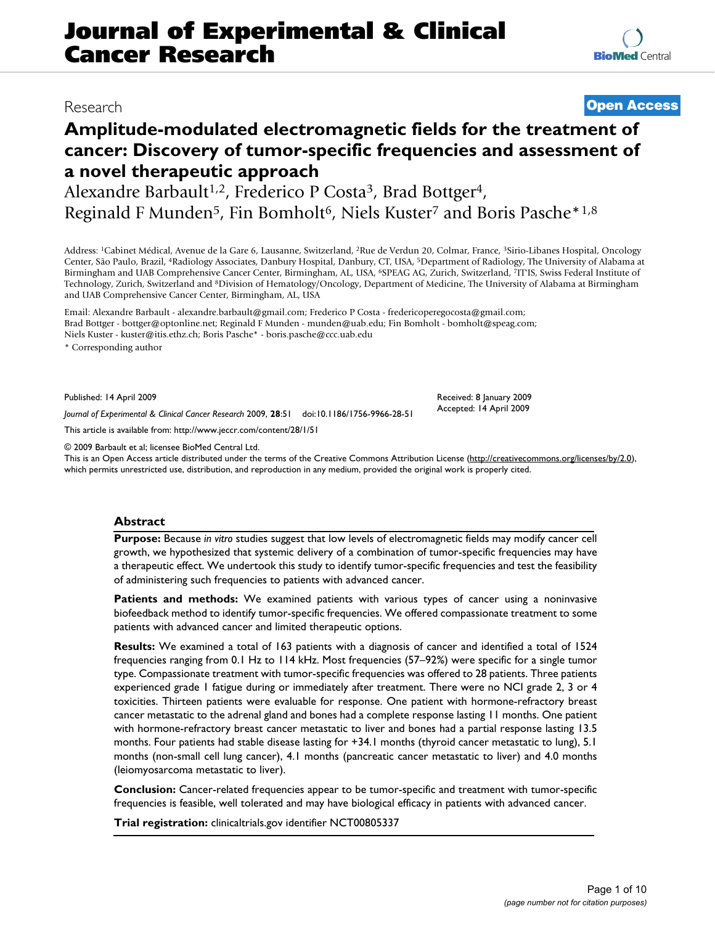# **Amplitude-modulated electromagnetic fields for the treatment of cancer: Discovery of tumor-specific frequencies and assessment of a novel therapeutic approach**

Alexandre Barbault<sup>1,2</sup>, Frederico P Costa<sup>3</sup>, Brad Bottger<sup>4</sup>, Reginald F Munden<sup>5</sup>, Fin Bomholt<sup>6</sup>, Niels Kuster<sup>7</sup> and Boris Pasche<sup>\*1,8</sup>

Address: 1Cabinet Médical, Avenue de la Gare 6, Lausanne, Switzerland, 2Rue de Verdun 20, Colmar, France, 3Sirio-Libanes Hospital, Oncology Center, São Paulo, Brazil, 4Radiology Associates, Danbury Hospital, Danbury, CT, USA, 5Department of Radiology, The University of Alabama at Birmingham and UAB Comprehensive Cancer Center, Birmingham, AL, USA, 6SPEAG AG, Zurich, Switzerland, 7IT'IS, Swiss Federal Institute of Technology, Zurich, Switzerland and 8Division of Hematology/Oncology, Department of Medicine, The University of Alabama at Birmingham and UAB Comprehensive Cancer Center, Birmingham, AL, USA

Email: Alexandre Barbault - alexandre.barbault@gmail.com; Frederico P Costa - fredericoperegocosta@gmail.com; Brad Bottger - bottger@optonline.net; Reginald F Munden - munden@uab.edu; Fin Bomholt - bomholt@speag.com; Niels Kuster - kuster@itis.ethz.ch; Boris Pasche\* - boris.pasche@ccc.uab.edu

\* Corresponding author

Published: 14 April 2009

*Journal of Experimental & Clinical Cancer Research* 2009, **28**:51 doi:10.1186/1756-9966-28-51

This article is available from: http://www.jeccr.com/content/28/1/51

#### © 2009 Barbault et al; licensee BioMed Central Ltd.

This is an Open Access article distributed under the terms of the Creative Commons Attribution License (http://creativecommons.org/licenses/by/2.0), which permits unrestricted use, distribution, and reproduction in any medium, provided the original work is properly cited.

#### **Abstract**

**Purpose:** Because *in vitro* studies suggest that low levels of electromagnetic fields may modify cancer cell growth, we hypothesized that systemic delivery of a combination of tumor-specific frequencies may have a therapeutic effect. We undertook this study to identify tumor-specific frequencies and test the feasibility of administering such frequencies to patients with advanced cancer.

**Patients and methods:** We examined patients with various types of cancer using a noninvasive biofeedback method to identify tumor-specific frequencies. We offered compassionate treatment to some patients with advanced cancer and limited therapeutic options.

**Results:** We examined a total of 163 patients with a diagnosis of cancer and identified a total of 1524 frequencies ranging from 0.1 Hz to 114 kHz. Most frequencies (57–92%) were specific for a single tumor type. Compassionate treatment with tumor-specific frequencies was offered to 28 patients. Three patients experienced grade 1 fatigue during or immediately after treatment. There were no NCI grade 2, 3 or 4 toxicities. Thirteen patients were evaluable for response. One patient with hormone-refractory breast cancer metastatic to the adrenal gland and bones had a complete response lasting 11 months. One patient with hormone-refractory breast cancer metastatic to liver and bones had a partial response lasting 13.5 months. Four patients had stable disease lasting for +34.1 months (thyroid cancer metastatic to lung), 5.1 months (non-small cell lung cancer), 4.1 months (pancreatic cancer metastatic to liver) and 4.0 months (leiomyosarcoma metastatic to liver).

**Conclusion:** Cancer-related frequencies appear to be tumor-specific and treatment with tumor-specific frequencies is feasible, well tolerated and may have biological efficacy in patients with advanced cancer.

**Trial registration:** clinicaltrials.gov identifier NCT00805337



# Research **Open Access**

Received: 8 January 2009 Accepted: 14 April 2009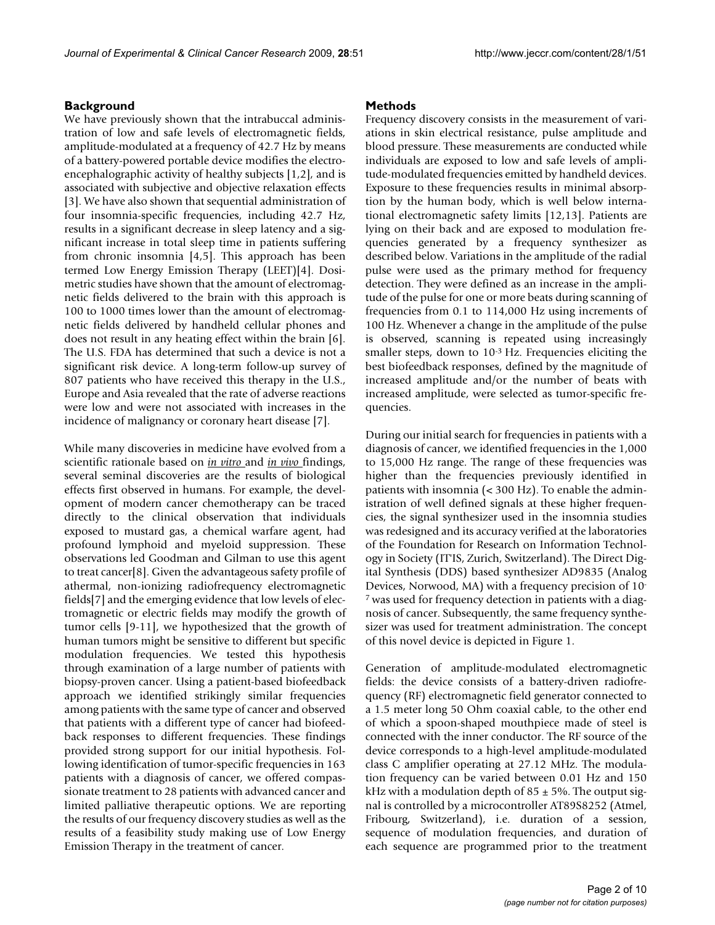# **Background**

We have previously shown that the intrabuccal administration of low and safe levels of electromagnetic fields, amplitude-modulated at a frequency of 42.7 Hz by means of a battery-powered portable device modifies the electroencephalographic activity of healthy subjects [1,2], and is associated with subjective and objective relaxation effects [3]. We have also shown that sequential administration of four insomnia-specific frequencies, including 42.7 Hz, results in a significant decrease in sleep latency and a significant increase in total sleep time in patients suffering from chronic insomnia [4,5]. This approach has been termed Low Energy Emission Therapy (LEET)[4]. Dosimetric studies have shown that the amount of electromagnetic fields delivered to the brain with this approach is 100 to 1000 times lower than the amount of electromagnetic fields delivered by handheld cellular phones and does not result in any heating effect within the brain [6]. The U.S. FDA has determined that such a device is not a significant risk device. A long-term follow-up survey of 807 patients who have received this therapy in the U.S., Europe and Asia revealed that the rate of adverse reactions were low and were not associated with increases in the incidence of malignancy or coronary heart disease [7].

While many discoveries in medicine have evolved from a scientific rationale based on *in vitro* and *in vivo* findings, several seminal discoveries are the results of biological effects first observed in humans. For example, the development of modern cancer chemotherapy can be traced directly to the clinical observation that individuals exposed to mustard gas, a chemical warfare agent, had profound lymphoid and myeloid suppression. These observations led Goodman and Gilman to use this agent to treat cancer[8]. Given the advantageous safety profile of athermal, non-ionizing radiofrequency electromagnetic fields[7] and the emerging evidence that low levels of electromagnetic or electric fields may modify the growth of tumor cells [9-11], we hypothesized that the growth of human tumors might be sensitive to different but specific modulation frequencies. We tested this hypothesis through examination of a large number of patients with biopsy-proven cancer. Using a patient-based biofeedback approach we identified strikingly similar frequencies among patients with the same type of cancer and observed that patients with a different type of cancer had biofeedback responses to different frequencies. These findings provided strong support for our initial hypothesis. Following identification of tumor-specific frequencies in 163 patients with a diagnosis of cancer, we offered compassionate treatment to 28 patients with advanced cancer and limited palliative therapeutic options. We are reporting the results of our frequency discovery studies as well as the results of a feasibility study making use of Low Energy Emission Therapy in the treatment of cancer.

#### **Methods**

Frequency discovery consists in the measurement of variations in skin electrical resistance, pulse amplitude and blood pressure. These measurements are conducted while individuals are exposed to low and safe levels of amplitude-modulated frequencies emitted by handheld devices. Exposure to these frequencies results in minimal absorption by the human body, which is well below international electromagnetic safety limits [12,13]. Patients are lying on their back and are exposed to modulation frequencies generated by a frequency synthesizer as described below. Variations in the amplitude of the radial pulse were used as the primary method for frequency detection. They were defined as an increase in the amplitude of the pulse for one or more beats during scanning of frequencies from 0.1 to 114,000 Hz using increments of 100 Hz. Whenever a change in the amplitude of the pulse is observed, scanning is repeated using increasingly smaller steps, down to 10<sup>-3</sup> Hz. Frequencies eliciting the best biofeedback responses, defined by the magnitude of increased amplitude and/or the number of beats with increased amplitude, were selected as tumor-specific frequencies.

During our initial search for frequencies in patients with a diagnosis of cancer, we identified frequencies in the 1,000 to 15,000 Hz range. The range of these frequencies was higher than the frequencies previously identified in patients with insomnia (< 300 Hz). To enable the administration of well defined signals at these higher frequencies, the signal synthesizer used in the insomnia studies was redesigned and its accuracy verified at the laboratories of the Foundation for Research on Information Technology in Society (IT'IS, Zurich, Switzerland). The Direct Digital Synthesis (DDS) based synthesizer AD9835 (Analog Devices, Norwood, MA) with a frequency precision of 10- 7 was used for frequency detection in patients with a diagnosis of cancer. Subsequently, the same frequency synthesizer was used for treatment administration. The concept of this novel device is depicted in Figure 1.

Generation of amplitude-modulated electromagnetic fields: the device consists of a battery-driven radiofrequency (RF) electromagnetic field generator connected to a 1.5 meter long 50 Ohm coaxial cable, to the other end of which a spoon-shaped mouthpiece made of steel is connected with the inner conductor. The RF source of the device corresponds to a high-level amplitude-modulated class C amplifier operating at 27.12 MHz. The modulation frequency can be varied between 0.01 Hz and 150 kHz with a modulation depth of  $85 \pm 5\%$ . The output signal is controlled by a microcontroller AT89S8252 (Atmel, Fribourg, Switzerland), i.e. duration of a session, sequence of modulation frequencies, and duration of each sequence are programmed prior to the treatment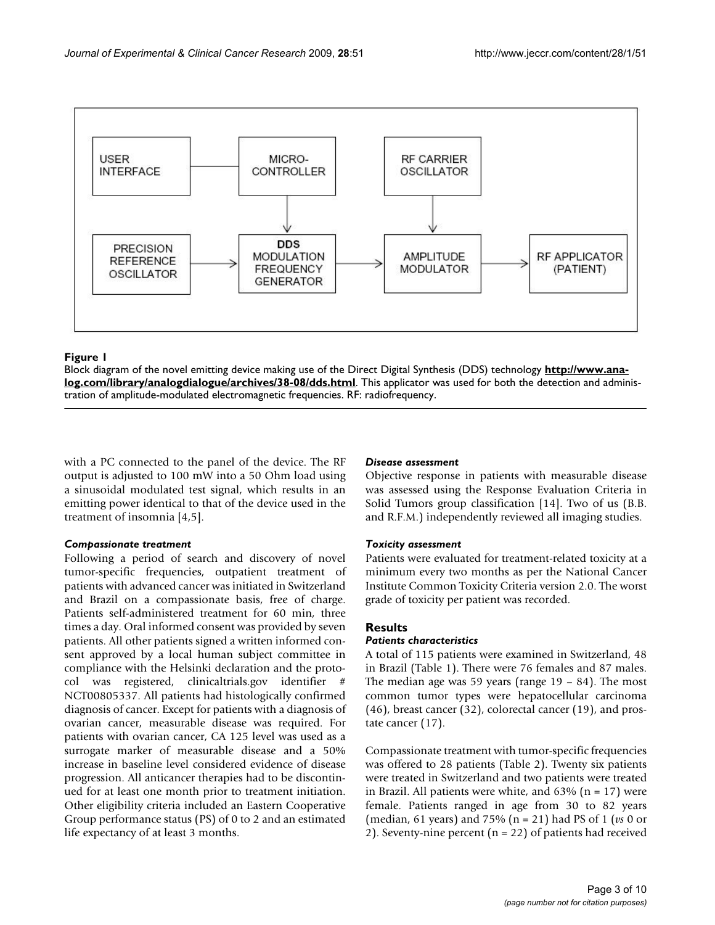

# log.com/library/analogdial **Figure 1** Block diagram of the novel emitting devi ogue/archives/38-08/dds.html ce making use of the Direct Digital Synthesis (DDS) technology http://www.ana-

Block diagram of the novel emitting device making use of the Direct Digital Synthesis (DDS) technology **http://www.analog.com/library/analogdialogue/archives/38-08/dds.html**. This applicator was used for both the detection and administration of amplitude-modulated electromagnetic frequencies. RF: radiofrequency.

with a PC connected to the panel of the device. The RF output is adjusted to 100 mW into a 50 Ohm load using a sinusoidal modulated test signal, which results in an emitting power identical to that of the device used in the treatment of insomnia [4,5].

# *Compassionate treatment*

Following a period of search and discovery of novel tumor-specific frequencies, outpatient treatment of patients with advanced cancer was initiated in Switzerland and Brazil on a compassionate basis, free of charge. Patients self-administered treatment for 60 min, three times a day. Oral informed consent was provided by seven patients. All other patients signed a written informed consent approved by a local human subject committee in compliance with the Helsinki declaration and the protocol was registered, clinicaltrials.gov identifier # NCT00805337. All patients had histologically confirmed diagnosis of cancer. Except for patients with a diagnosis of ovarian cancer, measurable disease was required. For patients with ovarian cancer, CA 125 level was used as a surrogate marker of measurable disease and a 50% increase in baseline level considered evidence of disease progression. All anticancer therapies had to be discontinued for at least one month prior to treatment initiation. Other eligibility criteria included an Eastern Cooperative Group performance status (PS) of 0 to 2 and an estimated life expectancy of at least 3 months.

# *Disease assessment*

Objective response in patients with measurable disease was assessed using the Response Evaluation Criteria in Solid Tumors group classification [14]. Two of us (B.B. and R.F.M.) independently reviewed all imaging studies.

# *Toxicity assessment*

Patients were evaluated for treatment-related toxicity at a minimum every two months as per the National Cancer Institute Common Toxicity Criteria version 2.0. The worst grade of toxicity per patient was recorded.

# **Results**

# *Patients characteristics*

A total of 115 patients were examined in Switzerland, 48 in Brazil (Table 1). There were 76 females and 87 males. The median age was 59 years (range  $19 - 84$ ). The most common tumor types were hepatocellular carcinoma (46), breast cancer (32), colorectal cancer (19), and prostate cancer (17).

Compassionate treatment with tumor-specific frequencies was offered to 28 patients (Table 2). Twenty six patients were treated in Switzerland and two patients were treated in Brazil. All patients were white, and  $63\%$  (n = 17) were female. Patients ranged in age from 30 to 82 years (median, 61 years) and 75% (n = 21) had PS of 1 (*vs* 0 or 2). Seventy-nine percent ( $n = 22$ ) of patients had received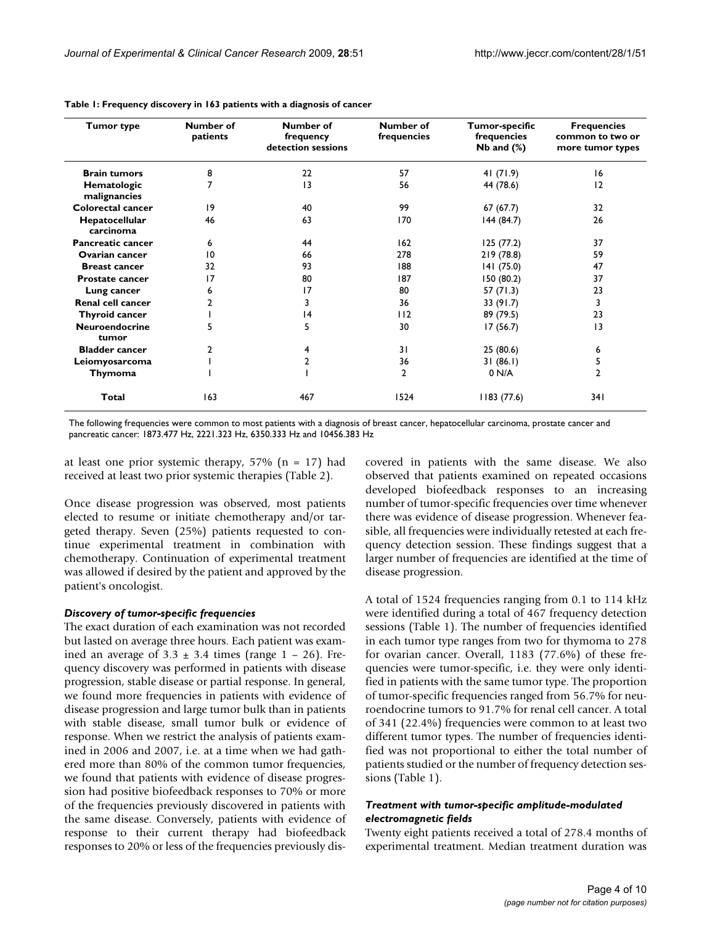| <b>Tumor type</b>              | Number of<br>patients | Number of<br>frequency<br>detection sessions | Number of<br>frequencies | Tumor-specific<br>frequencies<br>$Nb$ and $(\%)$ | <b>Frequencies</b><br>common to two or<br>more tumor types |
|--------------------------------|-----------------------|----------------------------------------------|--------------------------|--------------------------------------------------|------------------------------------------------------------|
| <b>Brain tumors</b>            | 8                     | 22                                           | 57                       | 41(71.9)                                         | 16                                                         |
| Hematologic<br>malignancies    | 7                     | 13                                           | 56                       | 44 (78.6)                                        | 12                                                         |
| Colorectal cancer              | 19                    | 40                                           | 99                       | 67(67.7)                                         | 32                                                         |
| Hepatocellular<br>carcinoma    | 46                    | 63                                           | 170                      | 144(84.7)                                        | 26                                                         |
| <b>Pancreatic cancer</b>       | 6                     | 44                                           | 162                      | 125(77.2)                                        | 37                                                         |
| <b>Ovarian cancer</b>          | 10                    | 66                                           | 278                      | 219 (78.8)                                       | 59                                                         |
| <b>Breast cancer</b>           | 32                    | 93                                           | 188                      | 141(75.0)                                        | 47                                                         |
| <b>Prostate cancer</b>         | 17                    | 80                                           | 187                      | 150 (80.2)                                       | 37                                                         |
| Lung cancer                    | 6                     | 17                                           | 80                       | 57 (71.3)                                        | 23                                                         |
| Renal cell cancer              | 2                     | 3                                            | 36                       | 33 (91.7)                                        | 3                                                          |
| <b>Thyroid cancer</b>          |                       | $\overline{14}$                              | 112                      | 89 (79.5)                                        | 23                                                         |
| <b>Neuroendocrine</b><br>tumor | 5                     | 5                                            | 30                       | 17(56.7)                                         | 13                                                         |
| <b>Bladder cancer</b>          | 2                     | 4                                            | 31                       | 25(80.6)                                         | 6                                                          |
| Leiomyosarcoma                 |                       | 2                                            | 36                       | 31(86.1)                                         | 5                                                          |
| Thymoma                        |                       |                                              | 2                        | 0 N/A                                            | 2                                                          |
| Total                          | 163                   | 467                                          | 1524                     | 1183(77.6)                                       | 34 I                                                       |

**Table 1: Frequency discovery in 163 patients with a diagnosis of cancer**

The following frequencies were common to most patients with a diagnosis of breast cancer, hepatocellular carcinoma, prostate cancer and pancreatic cancer: 1873.477 Hz, 2221.323 Hz, 6350.333 Hz and 10456.383 Hz

at least one prior systemic therapy,  $57\%$  (n = 17) had received at least two prior systemic therapies (Table 2).

Once disease progression was observed, most patients elected to resume or initiate chemotherapy and/or targeted therapy. Seven (25%) patients requested to continue experimental treatment in combination with chemotherapy. Continuation of experimental treatment was allowed if desired by the patient and approved by the patient's oncologist.

#### *Discovery of tumor-specific frequencies*

The exact duration of each examination was not recorded but lasted on average three hours. Each patient was examined an average of  $3.3 \pm 3.4$  times (range  $1 - 26$ ). Frequency discovery was performed in patients with disease progression, stable disease or partial response. In general, we found more frequencies in patients with evidence of disease progression and large tumor bulk than in patients with stable disease, small tumor bulk or evidence of response. When we restrict the analysis of patients examined in 2006 and 2007, i.e. at a time when we had gathered more than 80% of the common tumor frequencies, we found that patients with evidence of disease progression had positive biofeedback responses to 70% or more of the frequencies previously discovered in patients with the same disease. Conversely, patients with evidence of response to their current therapy had biofeedback responses to 20% or less of the frequencies previously discovered in patients with the same disease. We also observed that patients examined on repeated occasions developed biofeedback responses to an increasing number of tumor-specific frequencies over time whenever there was evidence of disease progression. Whenever feasible, all frequencies were individually retested at each frequency detection session. These findings suggest that a larger number of frequencies are identified at the time of disease progression.

A total of 1524 frequencies ranging from 0.1 to 114 kHz were identified during a total of 467 frequency detection sessions (Table 1). The number of frequencies identified in each tumor type ranges from two for thymoma to 278 for ovarian cancer. Overall, 1183 (77.6%) of these frequencies were tumor-specific, i.e. they were only identified in patients with the same tumor type. The proportion of tumor-specific frequencies ranged from 56.7% for neuroendocrine tumors to 91.7% for renal cell cancer. A total of 341 (22.4%) frequencies were common to at least two different tumor types. The number of frequencies identified was not proportional to either the total number of patients studied or the number of frequency detection sessions (Table 1).

# *Treatment with tumor-specific amplitude-modulated electromagnetic fields*

Twenty eight patients received a total of 278.4 months of experimental treatment. Median treatment duration was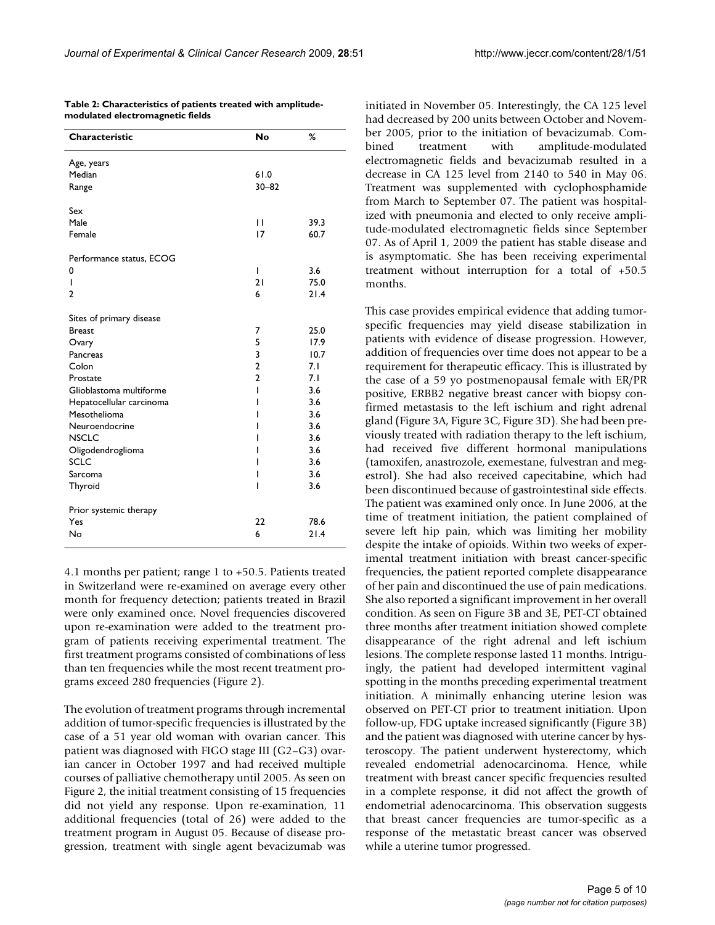| Characteristic           | <b>No</b>      | %    |
|--------------------------|----------------|------|
| Age, years               |                |      |
| Median                   | 61.0           |      |
| Range                    | $30 - 82$      |      |
| Sex                      |                |      |
| Male                     | П              | 39.3 |
| Female                   | 17             | 60.7 |
| Performance status, ECOG |                |      |
| 0                        | I              | 3.6  |
| T                        | 21             | 75.0 |
| $\overline{2}$           | 6              | 21.4 |
| Sites of primary disease |                |      |
| <b>Breast</b>            | 7              | 25.0 |
| Ovary                    | 5              | 17.9 |
| Pancreas                 | 3              | 10.7 |
| Colon                    | $\overline{2}$ | 7.1  |
| Prostate                 | $\overline{2}$ | 7.1  |
| Glioblastoma multiforme  | ı              | 3.6  |
| Hepatocellular carcinoma | ı              | 3.6  |
| Mesothelioma             | ı              | 3.6  |
| Neuroendocrine           | ı              | 3.6  |
| <b>NSCLC</b>             | ı              | 3.6  |
| Oligodendroglioma        | ı              | 3.6  |
| <b>SCLC</b>              | ı              | 3.6  |
| Sarcoma                  | ı              | 3.6  |
| Thyroid                  | ı              | 3.6  |
| Prior systemic therapy   |                |      |
| Yes                      | 22             | 78.6 |
| No                       | 6              | 21.4 |

**Table 2: Characteristics of patients treated with amplitudemodulated electromagnetic fields**

4.1 months per patient; range 1 to +50.5. Patients treated in Switzerland were re-examined on average every other month for frequency detection; patients treated in Brazil were only examined once. Novel frequencies discovered upon re-examination were added to the treatment program of patients receiving experimental treatment. The first treatment programs consisted of combinations of less than ten frequencies while the most recent treatment programs exceed 280 frequencies (Figure 2).

The evolution of treatment programs through incremental addition of tumor-specific frequencies is illustrated by the case of a 51 year old woman with ovarian cancer. This patient was diagnosed with FIGO stage III (G2–G3) ovarian cancer in October 1997 and had received multiple courses of palliative chemotherapy until 2005. As seen on Figure 2, the initial treatment consisting of 15 frequencies did not yield any response. Upon re-examination, 11 additional frequencies (total of 26) were added to the treatment program in August 05. Because of disease progression, treatment with single agent bevacizumab was initiated in November 05. Interestingly, the CA 125 level had decreased by 200 units between October and November 2005, prior to the initiation of bevacizumab. Combined treatment with amplitude-modulated electromagnetic fields and bevacizumab resulted in a decrease in CA 125 level from 2140 to 540 in May 06. Treatment was supplemented with cyclophosphamide from March to September 07. The patient was hospitalized with pneumonia and elected to only receive amplitude-modulated electromagnetic fields since September 07. As of April 1, 2009 the patient has stable disease and is asymptomatic. She has been receiving experimental treatment without interruption for a total of +50.5 months.

This case provides empirical evidence that adding tumorspecific frequencies may yield disease stabilization in patients with evidence of disease progression. However, addition of frequencies over time does not appear to be a requirement for therapeutic efficacy. This is illustrated by the case of a 59 yo postmenopausal female with ER/PR positive, ERBB2 negative breast cancer with biopsy confirmed metastasis to the left ischium and right adrenal gland (Figure 3A, Figure 3C, Figure 3D). She had been previously treated with radiation therapy to the left ischium, had received five different hormonal manipulations (tamoxifen, anastrozole, exemestane, fulvestran and megestrol). She had also received capecitabine, which had been discontinued because of gastrointestinal side effects. The patient was examined only once. In June 2006, at the time of treatment initiation, the patient complained of severe left hip pain, which was limiting her mobility despite the intake of opioids. Within two weeks of experimental treatment initiation with breast cancer-specific frequencies, the patient reported complete disappearance of her pain and discontinued the use of pain medications. She also reported a significant improvement in her overall condition. As seen on Figure 3B and 3E, PET-CT obtained three months after treatment initiation showed complete disappearance of the right adrenal and left ischium lesions. The complete response lasted 11 months. Intriguingly, the patient had developed intermittent vaginal spotting in the months preceding experimental treatment initiation. A minimally enhancing uterine lesion was observed on PET-CT prior to treatment initiation. Upon follow-up, FDG uptake increased significantly (Figure 3B) and the patient was diagnosed with uterine cancer by hysteroscopy. The patient underwent hysterectomy, which revealed endometrial adenocarcinoma. Hence, while treatment with breast cancer specific frequencies resulted in a complete response, it did not affect the growth of endometrial adenocarcinoma. This observation suggests that breast cancer frequencies are tumor-specific as a response of the metastatic breast cancer was observed while a uterine tumor progressed.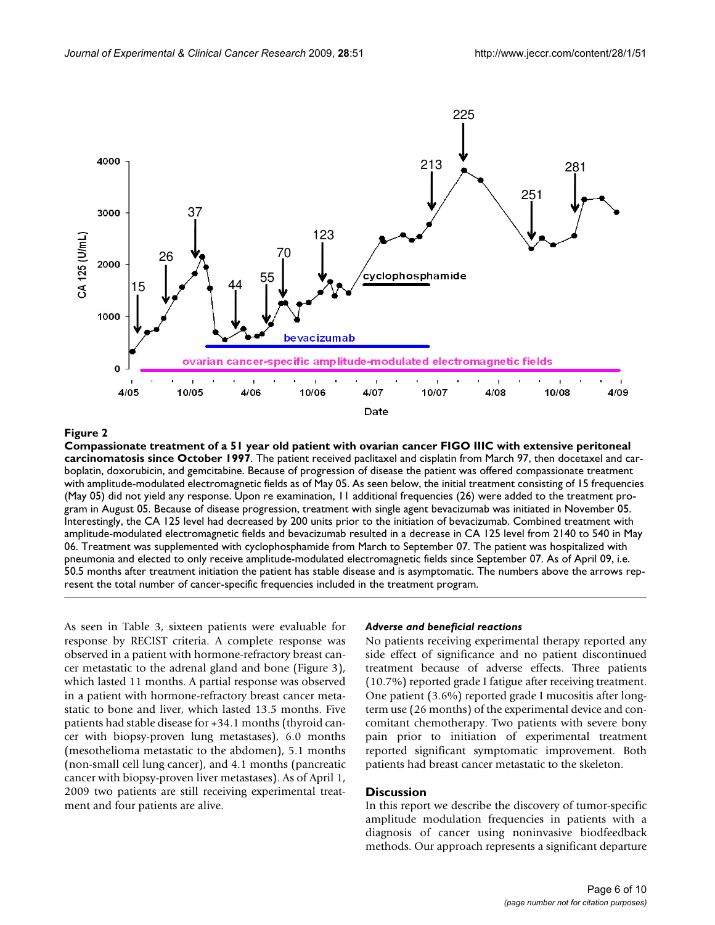

#### Compassionate treatment of a 51 year old patient with ovarian ca since October 1997 **Figure 2** ncer FIGO IIIC with extensive peritoneal carcinomatosis

**Compassionate treatment of a 51 year old patient with ovarian cancer FIGO IIIC with extensive peritoneal carcinomatosis since October 1997**. The patient received paclitaxel and cisplatin from March 97, then docetaxel and carboplatin, doxorubicin, and gemcitabine. Because of progression of disease the patient was offered compassionate treatment with amplitude-modulated electromagnetic fields as of May 05. As seen below, the initial treatment consisting of 15 frequencies (May 05) did not yield any response. Upon re examination, 11 additional frequencies (26) were added to the treatment program in August 05. Because of disease progression, treatment with single agent bevacizumab was initiated in November 05. Interestingly, the CA 125 level had decreased by 200 units prior to the initiation of bevacizumab. Combined treatment with amplitude-modulated electromagnetic fields and bevacizumab resulted in a decrease in CA 125 level from 2140 to 540 in May 06. Treatment was supplemented with cyclophosphamide from March to September 07. The patient was hospitalized with pneumonia and elected to only receive amplitude-modulated electromagnetic fields since September 07. As of April 09, i.e. 50.5 months after treatment initiation the patient has stable disease and is asymptomatic. The numbers above the arrows represent the total number of cancer-specific frequencies included in the treatment program.

As seen in Table 3, sixteen patients were evaluable for response by RECIST criteria. A complete response was observed in a patient with hormone-refractory breast cancer metastatic to the adrenal gland and bone (Figure 3), which lasted 11 months. A partial response was observed in a patient with hormone-refractory breast cancer metastatic to bone and liver, which lasted 13.5 months. Five patients had stable disease for +34.1 months (thyroid cancer with biopsy-proven lung metastases), 6.0 months (mesothelioma metastatic to the abdomen), 5.1 months (non-small cell lung cancer), and 4.1 months (pancreatic cancer with biopsy-proven liver metastases). As of April 1, 2009 two patients are still receiving experimental treatment and four patients are alive.

#### *Adverse and beneficial reactions*

No patients receiving experimental therapy reported any side effect of significance and no patient discontinued treatment because of adverse effects. Three patients (10.7%) reported grade I fatigue after receiving treatment. One patient (3.6%) reported grade I mucositis after longterm use (26 months) of the experimental device and concomitant chemotherapy. Two patients with severe bony pain prior to initiation of experimental treatment reported significant symptomatic improvement. Both patients had breast cancer metastatic to the skeleton.

#### **Discussion**

In this report we describe the discovery of tumor-specific amplitude modulation frequencies in patients with a diagnosis of cancer using noninvasive biodfeedback methods. Our approach represents a significant departure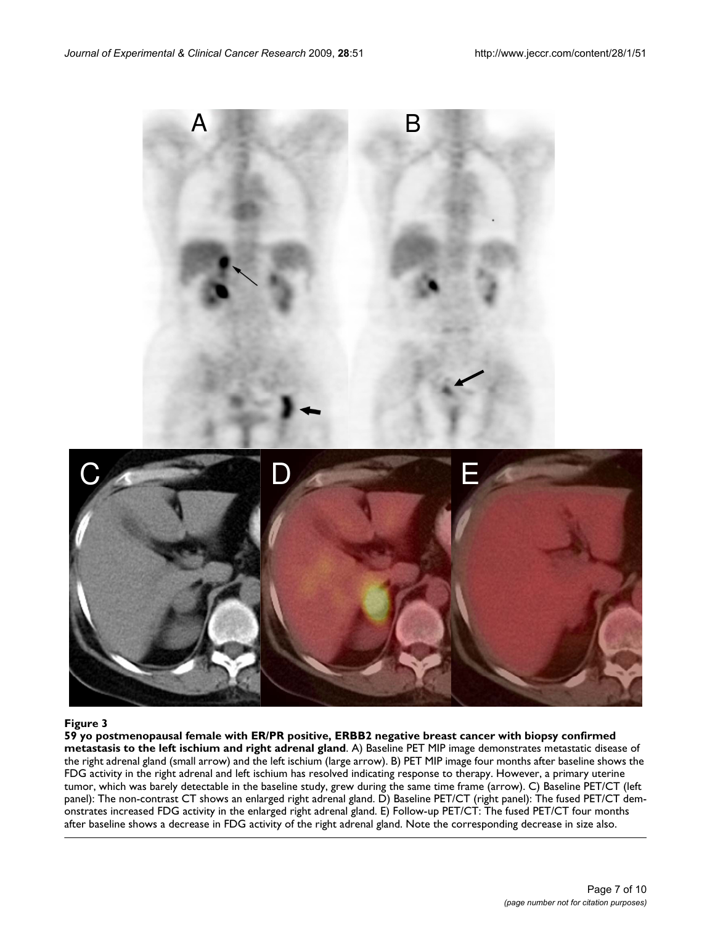

#### ischium and right adrenal gland **Figure 3** 59 yo postmenopausal female with ER/PR positive, ERBB2 negative breast cancer with biopsy confirmed metastasis to the left

**59 yo postmenopausal female with ER/PR positive, ERBB2 negative breast cancer with biopsy confirmed metastasis to the left ischium and right adrenal gland**. A) Baseline PET MIP image demonstrates metastatic disease of the right adrenal gland (small arrow) and the left ischium (large arrow). B) PET MIP image four months after baseline shows the FDG activity in the right adrenal and left ischium has resolved indicating response to therapy. However, a primary uterine tumor, which was barely detectable in the baseline study, grew during the same time frame (arrow). C) Baseline PET/CT (left panel): The non-contrast CT shows an enlarged right adrenal gland. D) Baseline PET/CT (right panel): The fused PET/CT demonstrates increased FDG activity in the enlarged right adrenal gland. E) Follow-up PET/CT: The fused PET/CT four months after baseline shows a decrease in FDG activity of the right adrenal gland. Note the corresponding decrease in size also.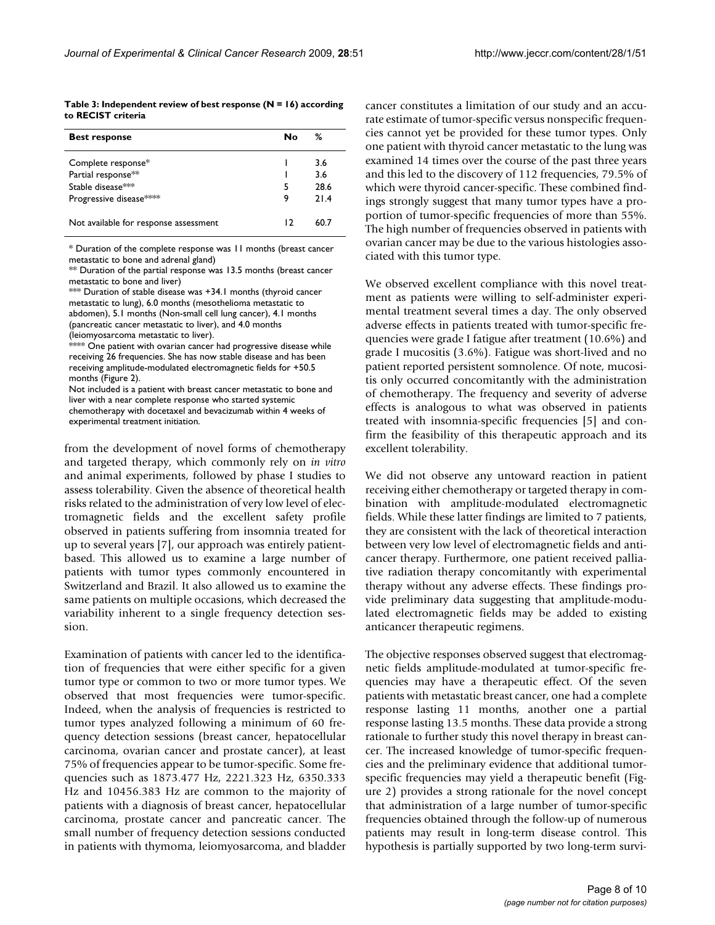**Table 3: Independent review of best response (N = 16) according to RECIST criteria**

| <b>Best response</b>                  | Nο | ℅    |
|---------------------------------------|----|------|
| Complete response*                    |    | 3.6  |
| Partial response**                    |    | 3.6  |
| Stable disease***                     | 5  | 28.6 |
| Progressive disease****               |    | 21.4 |
| Not available for response assessment |    | 60 7 |

\* Duration of the complete response was 11 months (breast cancer metastatic to bone and adrenal gland)

\*\* Duration of the partial response was 13.5 months (breast cancer metastatic to bone and liver)

 $*$  Duration of stable disease was  $+34.1$  months (thyroid cancer metastatic to lung), 6.0 months (mesothelioma metastatic to abdomen), 5.1 months (Non-small cell lung cancer), 4.1 months (pancreatic cancer metastatic to liver), and 4.0 months (leiomyosarcoma metastatic to liver).

\*\*\*\* One patient with ovarian cancer had progressive disease while receiving 26 frequencies. She has now stable disease and has been receiving amplitude-modulated electromagnetic fields for +50.5 months (Figure 2).

Not included is a patient with breast cancer metastatic to bone and liver with a near complete response who started systemic chemotherapy with docetaxel and bevacizumab within 4 weeks of experimental treatment initiation.

from the development of novel forms of chemotherapy and targeted therapy, which commonly rely on *in vitro* and animal experiments, followed by phase I studies to assess tolerability. Given the absence of theoretical health risks related to the administration of very low level of electromagnetic fields and the excellent safety profile observed in patients suffering from insomnia treated for up to several years [7], our approach was entirely patientbased. This allowed us to examine a large number of patients with tumor types commonly encountered in Switzerland and Brazil. It also allowed us to examine the same patients on multiple occasions, which decreased the variability inherent to a single frequency detection session.

Examination of patients with cancer led to the identification of frequencies that were either specific for a given tumor type or common to two or more tumor types. We observed that most frequencies were tumor-specific. Indeed, when the analysis of frequencies is restricted to tumor types analyzed following a minimum of 60 frequency detection sessions (breast cancer, hepatocellular carcinoma, ovarian cancer and prostate cancer), at least 75% of frequencies appear to be tumor-specific. Some frequencies such as 1873.477 Hz, 2221.323 Hz, 6350.333 Hz and 10456.383 Hz are common to the majority of patients with a diagnosis of breast cancer, hepatocellular carcinoma, prostate cancer and pancreatic cancer. The small number of frequency detection sessions conducted in patients with thymoma, leiomyosarcoma, and bladder cancer constitutes a limitation of our study and an accurate estimate of tumor-specific versus nonspecific frequencies cannot yet be provided for these tumor types. Only one patient with thyroid cancer metastatic to the lung was examined 14 times over the course of the past three years and this led to the discovery of 112 frequencies, 79.5% of which were thyroid cancer-specific. These combined findings strongly suggest that many tumor types have a proportion of tumor-specific frequencies of more than 55%. The high number of frequencies observed in patients with ovarian cancer may be due to the various histologies associated with this tumor type.

We observed excellent compliance with this novel treatment as patients were willing to self-administer experimental treatment several times a day. The only observed adverse effects in patients treated with tumor-specific frequencies were grade I fatigue after treatment (10.6%) and grade I mucositis (3.6%). Fatigue was short-lived and no patient reported persistent somnolence. Of note, mucositis only occurred concomitantly with the administration of chemotherapy. The frequency and severity of adverse effects is analogous to what was observed in patients treated with insomnia-specific frequencies [5] and confirm the feasibility of this therapeutic approach and its excellent tolerability.

We did not observe any untoward reaction in patient receiving either chemotherapy or targeted therapy in combination with amplitude-modulated electromagnetic fields. While these latter findings are limited to 7 patients, they are consistent with the lack of theoretical interaction between very low level of electromagnetic fields and anticancer therapy. Furthermore, one patient received palliative radiation therapy concomitantly with experimental therapy without any adverse effects. These findings provide preliminary data suggesting that amplitude-modulated electromagnetic fields may be added to existing anticancer therapeutic regimens.

The objective responses observed suggest that electromagnetic fields amplitude-modulated at tumor-specific frequencies may have a therapeutic effect. Of the seven patients with metastatic breast cancer, one had a complete response lasting 11 months, another one a partial response lasting 13.5 months. These data provide a strong rationale to further study this novel therapy in breast cancer. The increased knowledge of tumor-specific frequencies and the preliminary evidence that additional tumorspecific frequencies may yield a therapeutic benefit (Figure 2) provides a strong rationale for the novel concept that administration of a large number of tumor-specific frequencies obtained through the follow-up of numerous patients may result in long-term disease control. This hypothesis is partially supported by two long-term survi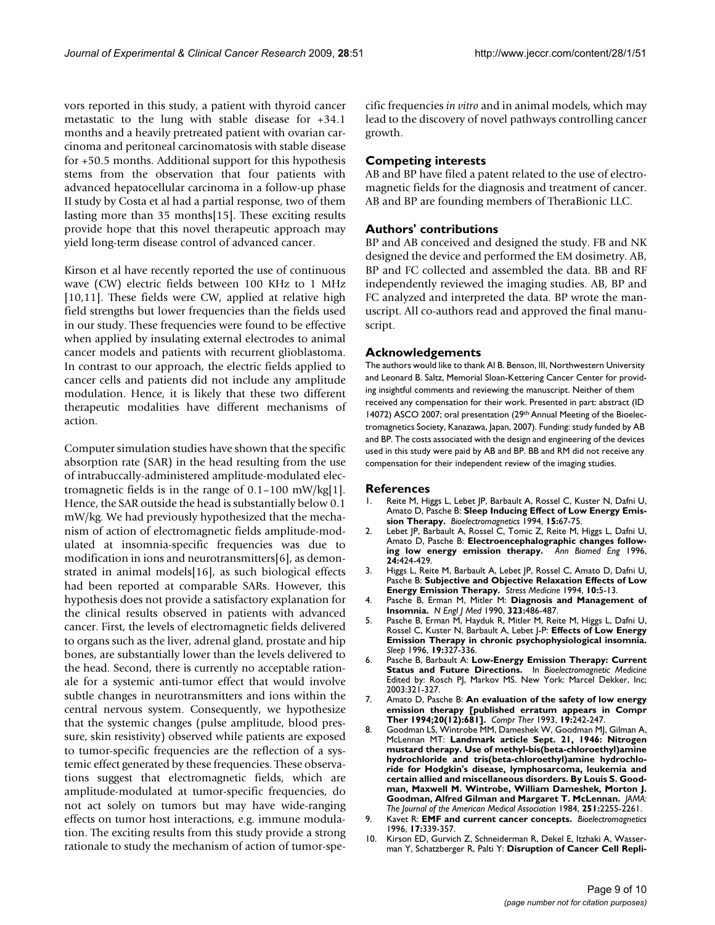vors reported in this study, a patient with thyroid cancer metastatic to the lung with stable disease for +34.1 months and a heavily pretreated patient with ovarian carcinoma and peritoneal carcinomatosis with stable disease for +50.5 months. Additional support for this hypothesis stems from the observation that four patients with advanced hepatocellular carcinoma in a follow-up phase II study by Costa et al had a partial response, two of them lasting more than 35 months[15]. These exciting results provide hope that this novel therapeutic approach may yield long-term disease control of advanced cancer.

Kirson et al have recently reported the use of continuous wave (CW) electric fields between 100 KHz to 1 MHz [10,11]. These fields were CW, applied at relative high field strengths but lower frequencies than the fields used in our study. These frequencies were found to be effective when applied by insulating external electrodes to animal cancer models and patients with recurrent glioblastoma. In contrast to our approach, the electric fields applied to cancer cells and patients did not include any amplitude modulation. Hence, it is likely that these two different therapeutic modalities have different mechanisms of action.

Computer simulation studies have shown that the specific absorption rate (SAR) in the head resulting from the use of intrabuccally-administered amplitude-modulated electromagnetic fields is in the range of 0.1–100 mW/kg[1]. Hence, the SAR outside the head is substantially below 0.1 mW/kg. We had previously hypothesized that the mechanism of action of electromagnetic fields amplitude-modulated at insomnia-specific frequencies was due to modification in ions and neurotransmitters[6], as demonstrated in animal models[16], as such biological effects had been reported at comparable SARs. However, this hypothesis does not provide a satisfactory explanation for the clinical results observed in patients with advanced cancer. First, the levels of electromagnetic fields delivered to organs such as the liver, adrenal gland, prostate and hip bones, are substantially lower than the levels delivered to the head. Second, there is currently no acceptable rationale for a systemic anti-tumor effect that would involve subtle changes in neurotransmitters and ions within the central nervous system. Consequently, we hypothesize that the systemic changes (pulse amplitude, blood pressure, skin resistivity) observed while patients are exposed to tumor-specific frequencies are the reflection of a systemic effect generated by these frequencies. These observations suggest that electromagnetic fields, which are amplitude-modulated at tumor-specific frequencies, do not act solely on tumors but may have wide-ranging effects on tumor host interactions, e.g. immune modulation. The exciting results from this study provide a strong rationale to study the mechanism of action of tumor-specific frequencies *in vitro* and in animal models, which may lead to the discovery of novel pathways controlling cancer growth.

# **Competing interests**

AB and BP have filed a patent related to the use of electromagnetic fields for the diagnosis and treatment of cancer. AB and BP are founding members of TheraBionic LLC.

# **Authors' contributions**

BP and AB conceived and designed the study. FB and NK designed the device and performed the EM dosimetry. AB, BP and FC collected and assembled the data. BB and RF independently reviewed the imaging studies. AB, BP and FC analyzed and interpreted the data. BP wrote the manuscript. All co-authors read and approved the final manuscript.

#### **Acknowledgements**

The authors would like to thank Al B. Benson, III, Northwestern University and Leonard B. Saltz, Memorial Sloan-Kettering Cancer Center for providing insightful comments and reviewing the manuscript. Neither of them received any compensation for their work. Presented in part: abstract (ID 14072) ASCO 2007; oral presentation (29th Annual Meeting of the Bioelectromagnetics Society, Kanazawa, Japan, 2007). Funding: study funded by AB and BP. The costs associated with the design and engineering of the devices used in this study were paid by AB and BP. BB and RM did not receive any compensation for their independent review of the imaging studies.

#### **References**

- 1. Reite M, Higgs L, Lebet JP, Barbault A, Rossel C, Kuster N, Dafni U, Amato D, Pasche B: **Sleep Inducing Effect of Low Energy Emission Therapy.** *Bioelectromagnetics* 1994, **15:**67-75.
- 2. Lebet JP, Barbault A, Rossel C, Tomic Z, Reite M, Higgs L, Dafni U, Amato D, Pasche B: **Electroencephalographic changes following low energy emission therapy.** *Ann Biomed Eng* 1996, **24:**424-429.
- 3. Higgs L, Reite M, Barbault A, Lebet JP, Rossel C, Amato D, Dafni U, Pasche B: **Subjective and Objective Relaxation Effects of Low Energy Emission Therapy.** *Stress Medicine* 1994, **10:**5-13.
- 4. Pasche B, Erman M, Mitler M: **Diagnosis and Management of Insomnia.** *N Engl J Med* 1990, **323:**486-487.
- 5. Pasche B, Erman M, Hayduk R, Mitler M, Reite M, Higgs L, Dafni U, Rossel C, Kuster N, Barbault A, Lebet J-P: **Effects of Low Energy Emission Therapy in chronic psychophysiological insomnia.** *Sleep* 1996, **19:**327-336.
- 6. Pasche B, Barbault A: **Low-Energy Emission Therapy: Current Status and Future Directions.** In *Bioelectromagnetic Medicine* Edited by: Rosch PJ, Markov MS. New York: Marcel Dekker, Inc; 2003:321-327.
- 7. Amato D, Pasche B: **An evaluation of the safety of low energy emission therapy [published erratum appears in Compr Ther 1994;20(12):681].** *Compr Ther* 1993, **19:**242-247.
- 8. Goodman LS, Wintrobe MM, Dameshek W, Goodman MJ, Gilman A, McLennan MT: **Landmark article Sept. 21, 1946: Nitrogen mustard therapy. Use of methyl-bis(beta-chloroethyl)amine hydrochloride and tris(beta-chloroethyl)amine hydrochloride for Hodgkin's disease, lymphosarcoma, leukemia and certain allied and miscellaneous disorders. By Louis S. Goodman, Maxwell M. Wintrobe, William Dameshek, Morton J. Goodman, Alfred Gilman and Margaret T. McLennan.** *JAMA: The Journal of the American Medical Association* 1984, **251:**2255-2261.
- 9. Kavet R: **EMF and current cancer concepts.** *Bioelectromagnetics* 1996, **17:**339-357.
- 10. Kirson ED, Gurvich Z, Schneiderman R, Dekel E, Itzhaki A, Wasserman Y, Schatzberger R, Palti Y: **Disruption of Cancer Cell Repli-**